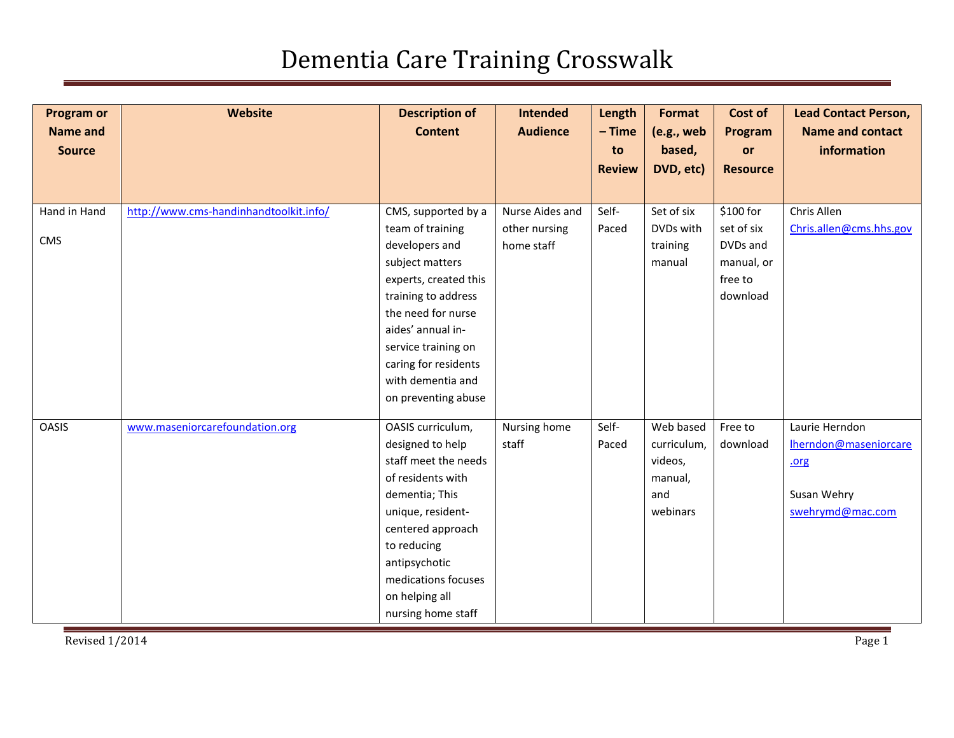| <b>Program or</b><br><b>Name and</b><br><b>Source</b> | Website                                | <b>Description of</b><br><b>Content</b>   | <b>Intended</b><br><b>Audience</b> | Length<br>$-$ Time<br>to<br><b>Review</b> | Format<br>(e.g., web<br>based,<br>DVD, etc) | Cost of<br>Program<br>or<br><b>Resource</b> | <b>Lead Contact Person,</b><br><b>Name and contact</b><br>information |
|-------------------------------------------------------|----------------------------------------|-------------------------------------------|------------------------------------|-------------------------------------------|---------------------------------------------|---------------------------------------------|-----------------------------------------------------------------------|
| Hand in Hand                                          | http://www.cms-handinhandtoolkit.info/ | CMS, supported by a                       | Nurse Aides and                    | Self-                                     | Set of six                                  | \$100 for                                   | Chris Allen                                                           |
|                                                       |                                        | team of training                          | other nursing                      | Paced                                     | DVDs with                                   | set of six                                  | Chris.allen@cms.hhs.gov                                               |
| CMS                                                   |                                        | developers and                            | home staff                         |                                           | training                                    | DVDs and                                    |                                                                       |
|                                                       |                                        | subject matters                           |                                    |                                           | manual                                      | manual, or                                  |                                                                       |
|                                                       |                                        | experts, created this                     |                                    |                                           |                                             | free to                                     |                                                                       |
|                                                       |                                        | training to address                       |                                    |                                           |                                             | download                                    |                                                                       |
|                                                       |                                        | the need for nurse                        |                                    |                                           |                                             |                                             |                                                                       |
|                                                       |                                        | aides' annual in-                         |                                    |                                           |                                             |                                             |                                                                       |
|                                                       |                                        | service training on                       |                                    |                                           |                                             |                                             |                                                                       |
|                                                       |                                        | caring for residents<br>with dementia and |                                    |                                           |                                             |                                             |                                                                       |
|                                                       |                                        | on preventing abuse                       |                                    |                                           |                                             |                                             |                                                                       |
|                                                       |                                        |                                           |                                    |                                           |                                             |                                             |                                                                       |
| <b>OASIS</b>                                          | www.maseniorcarefoundation.org         | OASIS curriculum,                         | Nursing home                       | Self-                                     | Web based                                   | Free to                                     | Laurie Herndon                                                        |
|                                                       |                                        | designed to help                          | staff                              | Paced                                     | curriculum,                                 | download                                    | Iherndon@maseniorcare                                                 |
|                                                       |                                        | staff meet the needs                      |                                    |                                           | videos,                                     |                                             | .org                                                                  |
|                                                       |                                        | of residents with                         |                                    |                                           | manual,                                     |                                             |                                                                       |
|                                                       |                                        | dementia; This                            |                                    |                                           | and                                         |                                             | Susan Wehry                                                           |
|                                                       |                                        | unique, resident-                         |                                    |                                           | webinars                                    |                                             | swehrymd@mac.com                                                      |
|                                                       |                                        | centered approach                         |                                    |                                           |                                             |                                             |                                                                       |
|                                                       |                                        | to reducing                               |                                    |                                           |                                             |                                             |                                                                       |
|                                                       |                                        | antipsychotic                             |                                    |                                           |                                             |                                             |                                                                       |
|                                                       |                                        | medications focuses                       |                                    |                                           |                                             |                                             |                                                                       |
|                                                       |                                        | on helping all                            |                                    |                                           |                                             |                                             |                                                                       |
|                                                       |                                        | nursing home staff                        |                                    |                                           |                                             |                                             |                                                                       |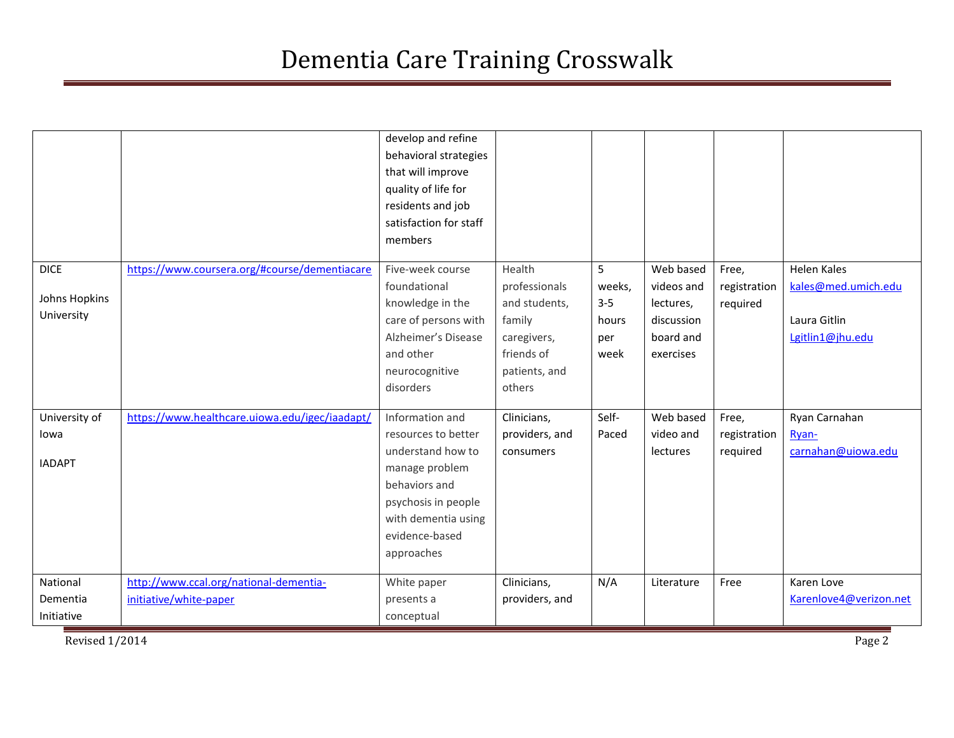|               |                                                | develop and refine<br>behavioral strategies<br>that will improve<br>quality of life for<br>residents and job<br>satisfaction for staff<br>members |                       |              |                         |              |                        |
|---------------|------------------------------------------------|---------------------------------------------------------------------------------------------------------------------------------------------------|-----------------------|--------------|-------------------------|--------------|------------------------|
| <b>DICE</b>   | https://www.coursera.org/#course/dementiacare  | Five-week course                                                                                                                                  | Health                | 5            | Web based               | Free,        | <b>Helen Kales</b>     |
| Johns Hopkins |                                                | foundational                                                                                                                                      | professionals         | weeks,       | videos and              | registration | kales@med.umich.edu    |
| University    |                                                | knowledge in the<br>care of persons with                                                                                                          | and students,         | $3 - 5$      | lectures,<br>discussion | required     | Laura Gitlin           |
|               |                                                | Alzheimer's Disease                                                                                                                               | family<br>caregivers, | hours<br>per | board and               |              | Lgitlin1@jhu.edu       |
|               |                                                | and other                                                                                                                                         | friends of            | week         | exercises               |              |                        |
|               |                                                | neurocognitive                                                                                                                                    | patients, and         |              |                         |              |                        |
|               |                                                | disorders                                                                                                                                         | others                |              |                         |              |                        |
| University of | https://www.healthcare.uiowa.edu/igec/iaadapt/ | Information and                                                                                                                                   | Clinicians,           | Self-        | Web based               | Free,        | Ryan Carnahan          |
| lowa          |                                                | resources to better                                                                                                                               | providers, and        | Paced        | video and               | registration | Ryan-                  |
| <b>IADAPT</b> |                                                | understand how to                                                                                                                                 | consumers             |              | lectures                | required     | carnahan@uiowa.edu     |
|               |                                                | manage problem                                                                                                                                    |                       |              |                         |              |                        |
|               |                                                | behaviors and<br>psychosis in people                                                                                                              |                       |              |                         |              |                        |
|               |                                                | with dementia using                                                                                                                               |                       |              |                         |              |                        |
|               |                                                | evidence-based                                                                                                                                    |                       |              |                         |              |                        |
|               |                                                | approaches                                                                                                                                        |                       |              |                         |              |                        |
| National      | http://www.ccal.org/national-dementia-         | White paper                                                                                                                                       | Clinicians,           | N/A          | Literature              | Free         | Karen Love             |
| Dementia      | initiative/white-paper                         | presents a                                                                                                                                        | providers, and        |              |                         |              | Karenlove4@verizon.net |
| Initiative    |                                                | conceptual                                                                                                                                        |                       |              |                         |              |                        |

Revised 1/2014 Page 2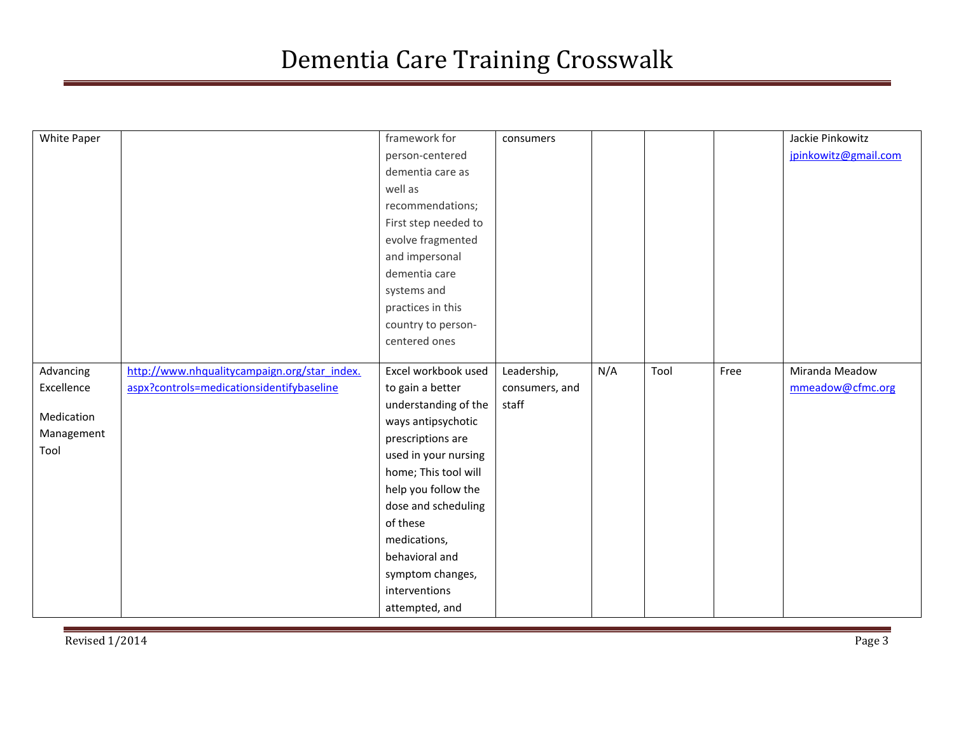| White Paper |                                              | framework for        | consumers      |     |      |      | Jackie Pinkowitz     |
|-------------|----------------------------------------------|----------------------|----------------|-----|------|------|----------------------|
|             |                                              | person-centered      |                |     |      |      | jpinkowitz@gmail.com |
|             |                                              | dementia care as     |                |     |      |      |                      |
|             |                                              | well as              |                |     |      |      |                      |
|             |                                              | recommendations;     |                |     |      |      |                      |
|             |                                              | First step needed to |                |     |      |      |                      |
|             |                                              |                      |                |     |      |      |                      |
|             |                                              | evolve fragmented    |                |     |      |      |                      |
|             |                                              | and impersonal       |                |     |      |      |                      |
|             |                                              | dementia care        |                |     |      |      |                      |
|             |                                              | systems and          |                |     |      |      |                      |
|             |                                              | practices in this    |                |     |      |      |                      |
|             |                                              | country to person-   |                |     |      |      |                      |
|             |                                              | centered ones        |                |     |      |      |                      |
|             |                                              |                      |                |     |      |      |                      |
| Advancing   | http://www.nhqualitycampaign.org/star_index. | Excel workbook used  | Leadership,    | N/A | Tool | Free | Miranda Meadow       |
| Excellence  | aspx?controls=medicationsidentifybaseline    | to gain a better     | consumers, and |     |      |      | mmeadow@cfmc.org     |
|             |                                              | understanding of the | staff          |     |      |      |                      |
| Medication  |                                              | ways antipsychotic   |                |     |      |      |                      |
| Management  |                                              | prescriptions are    |                |     |      |      |                      |
| Tool        |                                              | used in your nursing |                |     |      |      |                      |
|             |                                              | home; This tool will |                |     |      |      |                      |
|             |                                              | help you follow the  |                |     |      |      |                      |
|             |                                              | dose and scheduling  |                |     |      |      |                      |
|             |                                              | of these             |                |     |      |      |                      |
|             |                                              | medications,         |                |     |      |      |                      |
|             |                                              | behavioral and       |                |     |      |      |                      |
|             |                                              | symptom changes,     |                |     |      |      |                      |
|             |                                              | interventions        |                |     |      |      |                      |
|             |                                              | attempted, and       |                |     |      |      |                      |
|             |                                              |                      |                |     |      |      |                      |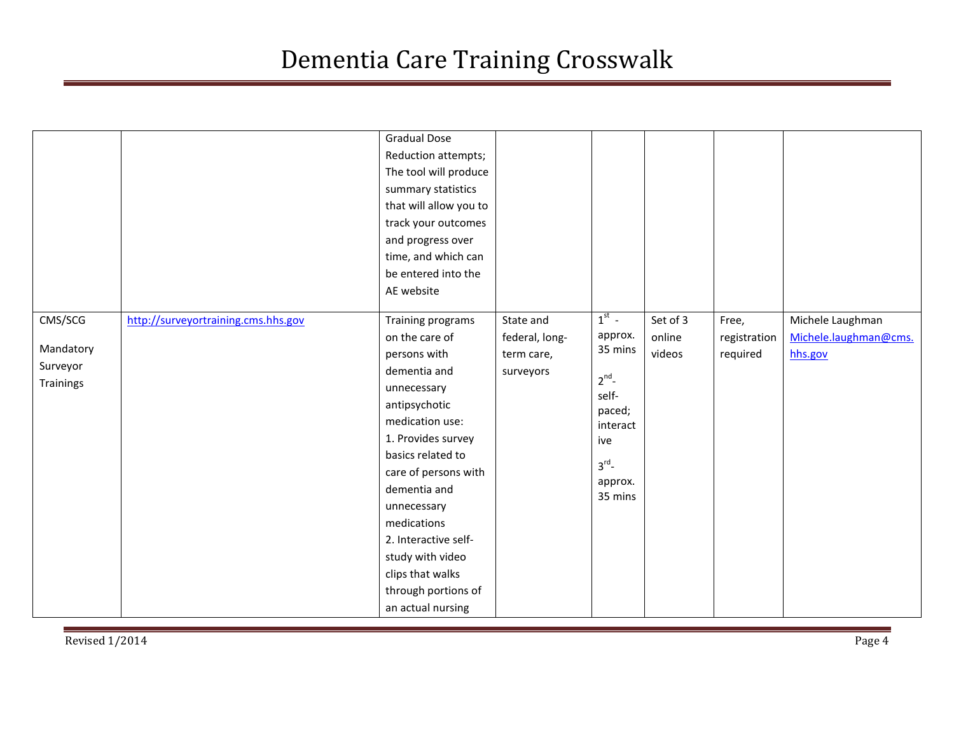|                                               |                                     | <b>Gradual Dose</b><br>Reduction attempts;<br>The tool will produce<br>summary statistics<br>that will allow you to<br>track your outcomes<br>and progress over<br>time, and which can<br>be entered into the<br>AE website                                                                                                                         |                                                        |                                                                                                                       |                              |                                   |                                                      |
|-----------------------------------------------|-------------------------------------|-----------------------------------------------------------------------------------------------------------------------------------------------------------------------------------------------------------------------------------------------------------------------------------------------------------------------------------------------------|--------------------------------------------------------|-----------------------------------------------------------------------------------------------------------------------|------------------------------|-----------------------------------|------------------------------------------------------|
| CMS/SCG<br>Mandatory<br>Surveyor<br>Trainings | http://surveyortraining.cms.hhs.gov | Training programs<br>on the care of<br>persons with<br>dementia and<br>unnecessary<br>antipsychotic<br>medication use:<br>1. Provides survey<br>basics related to<br>care of persons with<br>dementia and<br>unnecessary<br>medications<br>2. Interactive self-<br>study with video<br>clips that walks<br>through portions of<br>an actual nursing | State and<br>federal, long-<br>term care,<br>surveyors | $1st$ -<br>approx.<br>35 mins<br>$2^{nd}$ -<br>self-<br>paced;<br>interact<br>ive<br>$3^{rd}$ -<br>approx.<br>35 mins | Set of 3<br>online<br>videos | Free,<br>registration<br>required | Michele Laughman<br>Michele.laughman@cms.<br>hhs.gov |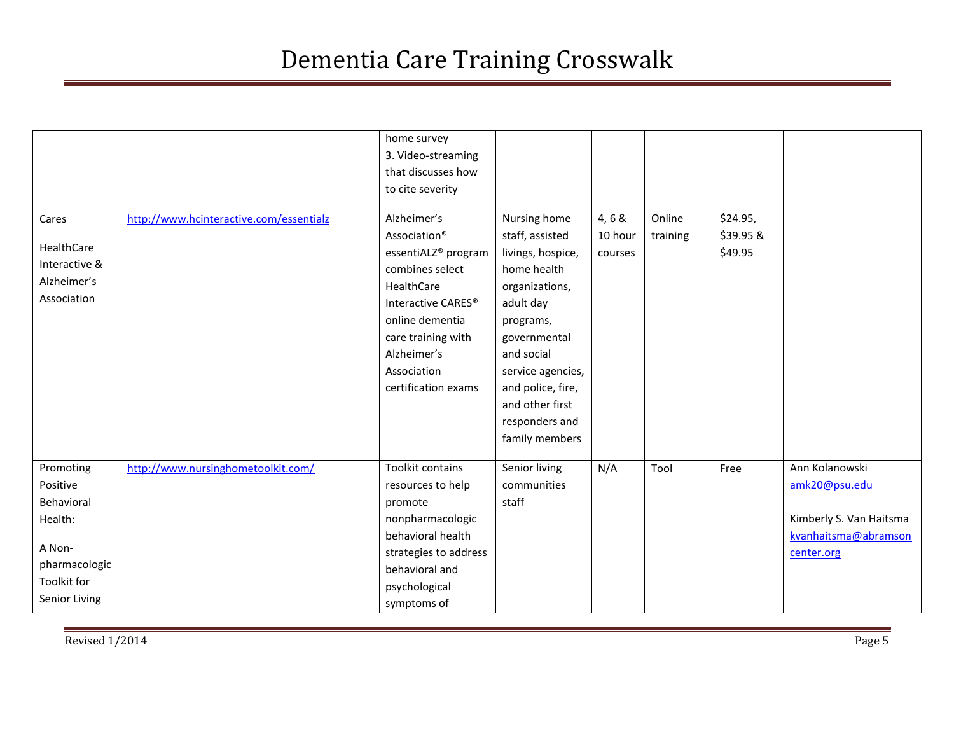| Cares<br>HealthCare<br>Interactive &<br>Alzheimer's<br>Association | http://www.hcinteractive.com/essentialz | home survey<br>3. Video-streaming<br>that discusses how<br>to cite severity<br>Alzheimer's<br>Association <sup>®</sup><br>essentiALZ <sup>®</sup> program<br>combines select<br>HealthCare<br>Interactive CARES <sup>®</sup><br>online dementia<br>care training with<br>Alzheimer's<br>Association<br>certification exams | Nursing home<br>staff, assisted<br>livings, hospice,<br>home health<br>organizations,<br>adult day<br>programs,<br>governmental<br>and social<br>service agencies,<br>and police, fire,<br>and other first<br>responders and<br>family members | 4, 6 &<br>10 hour<br>courses | Online<br>training | \$24.95,<br>\$39.95 &<br>\$49.95 |                         |
|--------------------------------------------------------------------|-----------------------------------------|----------------------------------------------------------------------------------------------------------------------------------------------------------------------------------------------------------------------------------------------------------------------------------------------------------------------------|------------------------------------------------------------------------------------------------------------------------------------------------------------------------------------------------------------------------------------------------|------------------------------|--------------------|----------------------------------|-------------------------|
| Promoting                                                          | http://www.nursinghometoolkit.com/      | Toolkit contains                                                                                                                                                                                                                                                                                                           | Senior living                                                                                                                                                                                                                                  | N/A                          | Tool               | Free                             | Ann Kolanowski          |
| Positive<br>Behavioral                                             |                                         | resources to help                                                                                                                                                                                                                                                                                                          | communities<br>staff                                                                                                                                                                                                                           |                              |                    |                                  | amk20@psu.edu           |
| Health:                                                            |                                         | promote<br>nonpharmacologic                                                                                                                                                                                                                                                                                                |                                                                                                                                                                                                                                                |                              |                    |                                  | Kimberly S. Van Haitsma |
|                                                                    |                                         | behavioral health                                                                                                                                                                                                                                                                                                          |                                                                                                                                                                                                                                                |                              |                    |                                  | kvanhaitsma@abramson    |
| A Non-                                                             |                                         | strategies to address                                                                                                                                                                                                                                                                                                      |                                                                                                                                                                                                                                                |                              |                    |                                  | center.org              |
| pharmacologic                                                      |                                         | behavioral and                                                                                                                                                                                                                                                                                                             |                                                                                                                                                                                                                                                |                              |                    |                                  |                         |
| Toolkit for                                                        |                                         | psychological                                                                                                                                                                                                                                                                                                              |                                                                                                                                                                                                                                                |                              |                    |                                  |                         |
| Senior Living                                                      |                                         | symptoms of                                                                                                                                                                                                                                                                                                                |                                                                                                                                                                                                                                                |                              |                    |                                  |                         |